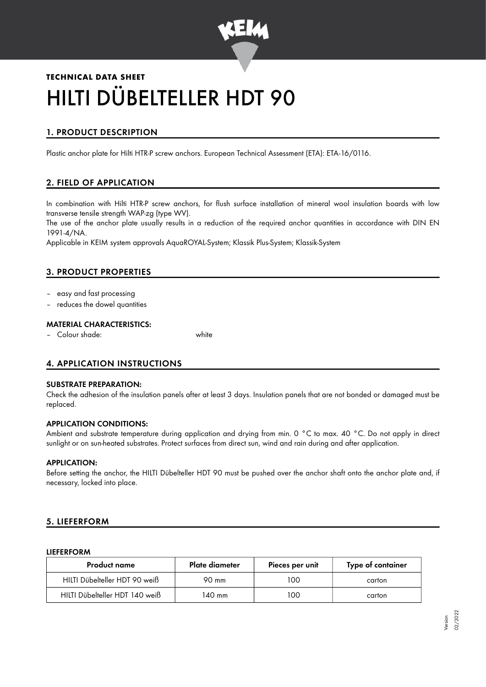

# **TECHNICAL DATA SHEET** HILTI DÜBELTELLER HDT 90

# 1. PRODUCT DESCRIPTION

Plastic anchor plate for Hilti HTR-P screw anchors. European Technical Assessment (ETA): ETA-16/0116.

# 2. FIELD OF APPLICATION

In combination with Hilti HTR-P screw anchors, for flush surface installation of mineral wool insulation boards with low transverse tensile strength WAP-zg (type WV).

The use of the anchor plate usually results in a reduction of the required anchor quantities in accordance with DIN EN 1991-4/NA.

Applicable in KEIM system approvals AquaROYAL-System; Klassik Plus-System; Klassik-System

## 3. PRODUCT PROPERTIES

- easy and fast processing
- reduces the dowel quantities

#### MATERIAL CHARACTERISTICS:

– Colour shade: white

# 4. APPLICATION INSTRUCTIONS

#### SUBSTRATE PREPARATION:

Check the adhesion of the insulation panels after at least 3 days. Insulation panels that are not bonded or damaged must be replaced.

#### APPLICATION CONDITIONS:

Ambient and substrate temperature during application and drying from min. 0 °C to max. 40 °C. Do not apply in direct sunlight or on sun-heated substrates. Protect surfaces from direct sun, wind and rain during and after application.

#### APPLICATION:

Before setting the anchor, the HILTI Dübelteller HDT 90 must be pushed over the anchor shaft onto the anchor plate and, if necessary, locked into place.

## 5. LIEFERFORM

#### LIEFERFORM

| <b>Product name</b>            | Plate diameter | Pieces per unit | Type of container |
|--------------------------------|----------------|-----------------|-------------------|
| HILTI Dübelteller HDT 90 weiß  | 90 mm          | 100             | carton            |
| HILTI Dübelteller HDT 140 weiß | 140 mm         | 100             | carton            |